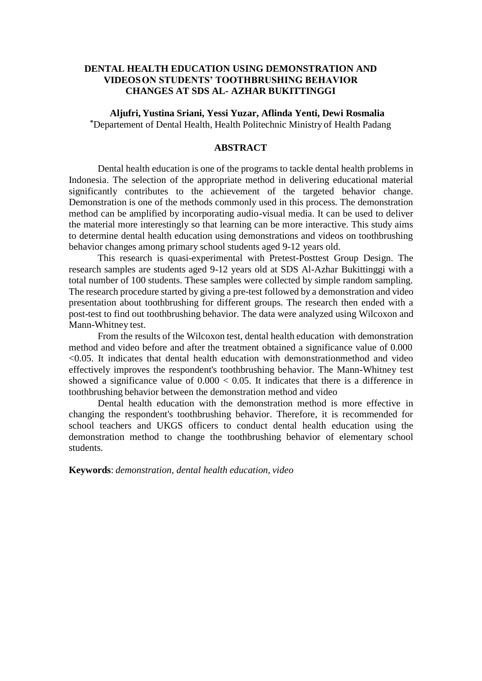# **DENTAL HEALTH EDUCATION USING DEMONSTRATION AND VIDEOS ON STUDENTS' TOOTHBRUSHING BEHAVIOR CHANGES AT SDS AL- AZHAR BUKITTINGGI**

**Aljufri, Yustina Sriani, Yessi Yuzar, Aflinda Yenti, Dewi Rosmalia \***Departement of Dental Health, Health Politechnic Ministry of Health Padang

# **ABSTRACT**

Dental health education is one of the programs to tackle dental health problems in Indonesia. The selection of the appropriate method in delivering educational material significantly contributes to the achievement of the targeted behavior change. Demonstration is one of the methods commonly used in this process. The demonstration method can be amplified by incorporating audio-visual media. It can be used to deliver the material more interestingly so that learning can be more interactive. This study aims to determine dental health education using demonstrations and videos on toothbrushing behavior changes among primary school students aged 9-12 years old.

This research is quasi-experimental with Pretest-Posttest Group Design. The research samples are students aged 9-12 years old at SDS Al-Azhar Bukittinggi with a total number of 100 students. These samples were collected by simple random sampling. The research procedure started by giving a pre-test followed by a demonstration and video presentation about toothbrushing for different groups. The research then ended with a post-test to find out toothbrushing behavior. The data were analyzed using Wilcoxon and Mann-Whitney test.

From the results of the Wilcoxon test, dental health education with demonstration method and video before and after the treatment obtained a significance value of 0.000 <0.05. It indicates that dental health education with demonstrationmethod and video effectively improves the respondent's toothbrushing behavior. The Mann-Whitney test showed a significance value of  $0.000 < 0.05$ . It indicates that there is a difference in toothbrushing behavior between the demonstration method and video

Dental health education with the demonstration method is more effective in changing the respondent's toothbrushing behavior. Therefore, it is recommended for school teachers and UKGS officers to conduct dental health education using the demonstration method to change the toothbrushing behavior of elementary school students.

**Keywords**: *demonstration, dental health education, video*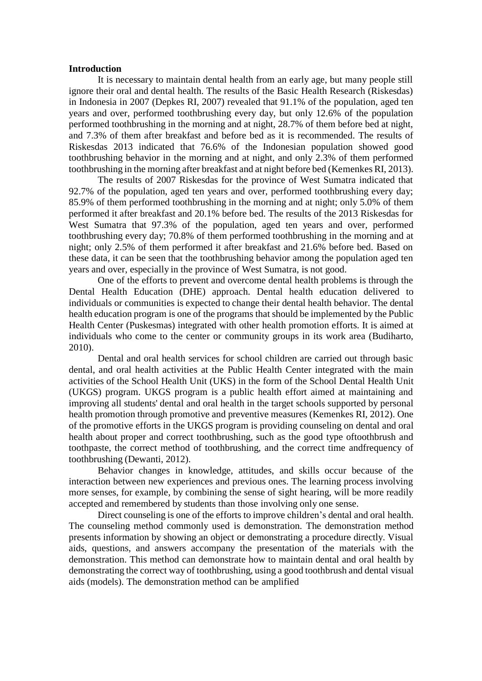#### **Introduction**

It is necessary to maintain dental health from an early age, but many people still ignore their oral and dental health. The results of the Basic Health Research (Riskesdas) in Indonesia in 2007 (Depkes RI, 2007) revealed that 91.1% of the population, aged ten years and over, performed toothbrushing every day, but only 12.6% of the population performed toothbrushing in the morning and at night, 28.7% of them before bed at night, and 7.3% of them after breakfast and before bed as it is recommended. The results of Riskesdas 2013 indicated that 76.6% of the Indonesian population showed good toothbrushing behavior in the morning and at night, and only 2.3% of them performed toothbrushing in the morning after breakfast and at night before bed (Kemenkes RI, 2013).

The results of 2007 Riskesdas for the province of West Sumatra indicated that 92.7% of the population, aged ten years and over, performed toothbrushing every day; 85.9% of them performed toothbrushing in the morning and at night; only 5.0% of them performed it after breakfast and 20.1% before bed. The results of the 2013 Riskesdas for West Sumatra that 97.3% of the population, aged ten years and over, performed toothbrushing every day; 70.8% of them performed toothbrushing in the morning and at night; only 2.5% of them performed it after breakfast and 21.6% before bed. Based on these data, it can be seen that the toothbrushing behavior among the population aged ten years and over, especially in the province of West Sumatra, is not good.

One of the efforts to prevent and overcome dental health problems is through the Dental Health Education (DHE) approach. Dental health education delivered to individuals or communities is expected to change their dental health behavior. The dental health education program is one of the programs that should be implemented by the Public Health Center (Puskesmas) integrated with other health promotion efforts. It is aimed at individuals who come to the center or community groups in its work area (Budiharto, 2010).

Dental and oral health services for school children are carried out through basic dental, and oral health activities at the Public Health Center integrated with the main activities of the School Health Unit (UKS) in the form of the School Dental Health Unit (UKGS) program. UKGS program is a public health effort aimed at maintaining and improving all students' dental and oral health in the target schools supported by personal health promotion through promotive and preventive measures (Kemenkes RI, 2012). One of the promotive efforts in the UKGS program is providing counseling on dental and oral health about proper and correct toothbrushing, such as the good type oftoothbrush and toothpaste, the correct method of toothbrushing, and the correct time andfrequency of toothbrushing (Dewanti, 2012).

Behavior changes in knowledge, attitudes, and skills occur because of the interaction between new experiences and previous ones. The learning process involving more senses, for example, by combining the sense of sight hearing, will be more readily accepted and remembered by students than those involving only one sense.

Direct counseling is one of the efforts to improve children's dental and oral health. The counseling method commonly used is demonstration. The demonstration method presents information by showing an object or demonstrating a procedure directly. Visual aids, questions, and answers accompany the presentation of the materials with the demonstration. This method can demonstrate how to maintain dental and oral health by demonstrating the correct way of toothbrushing, using a good toothbrush and dental visual aids (models). The demonstration method can be amplified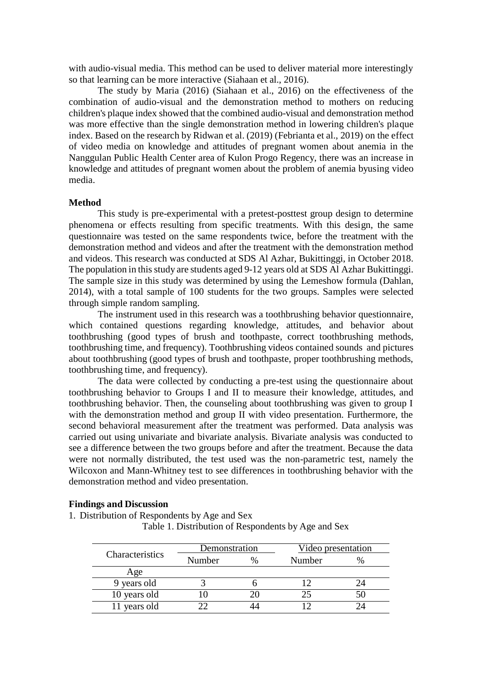with audio-visual media. This method can be used to deliver material more interestingly so that learning can be more interactive (Siahaan et al., 2016).

The study by Maria (2016) (Siahaan et al., 2016) on the effectiveness of the combination of audio-visual and the demonstration method to mothers on reducing children's plaque index showed that the combined audio-visual and demonstration method was more effective than the single demonstration method in lowering children's plaque index. Based on the research by Ridwan et al. (2019) (Febrianta et al., 2019) on the effect of video media on knowledge and attitudes of pregnant women about anemia in the Nanggulan Public Health Center area of Kulon Progo Regency, there was an increase in knowledge and attitudes of pregnant women about the problem of anemia byusing video media.

## **Method**

This study is pre-experimental with a pretest-posttest group design to determine phenomena or effects resulting from specific treatments. With this design, the same questionnaire was tested on the same respondents twice, before the treatment with the demonstration method and videos and after the treatment with the demonstration method and videos. This research was conducted at SDS Al Azhar, Bukittinggi, in October 2018. The population in this study are students aged 9-12 years old at SDS Al Azhar Bukittinggi. The sample size in this study was determined by using the Lemeshow formula (Dahlan, 2014), with a total sample of 100 students for the two groups. Samples were selected through simple random sampling.

The instrument used in this research was a toothbrushing behavior questionnaire, which contained questions regarding knowledge, attitudes, and behavior about toothbrushing (good types of brush and toothpaste, correct toothbrushing methods, toothbrushing time, and frequency). Toothbrushing videos contained sounds and pictures about toothbrushing (good types of brush and toothpaste, proper toothbrushing methods, toothbrushing time, and frequency).

The data were collected by conducting a pre-test using the questionnaire about toothbrushing behavior to Groups I and II to measure their knowledge, attitudes, and toothbrushing behavior. Then, the counseling about toothbrushing was given to group I with the demonstration method and group II with video presentation. Furthermore, the second behavioral measurement after the treatment was performed. Data analysis was carried out using univariate and bivariate analysis. Bivariate analysis was conducted to see a difference between the two groups before and after the treatment. Because the data were not normally distributed, the test used was the non-parametric test, namely the Wilcoxon and Mann-Whitney test to see differences in toothbrushing behavior with the demonstration method and video presentation.

#### **Findings and Discussion**

1. Distribution of Respondents by Age and Sex

Table 1. Distribution of Respondents by Age and Sex

|                 | Demonstration |      | Video presentation |  |  |
|-----------------|---------------|------|--------------------|--|--|
| Characteristics | Number        | $\%$ | Number             |  |  |
| Age             |               |      |                    |  |  |
| 9 years old     |               |      |                    |  |  |
| 10 years old    |               |      |                    |  |  |
| 11 years old    |               |      |                    |  |  |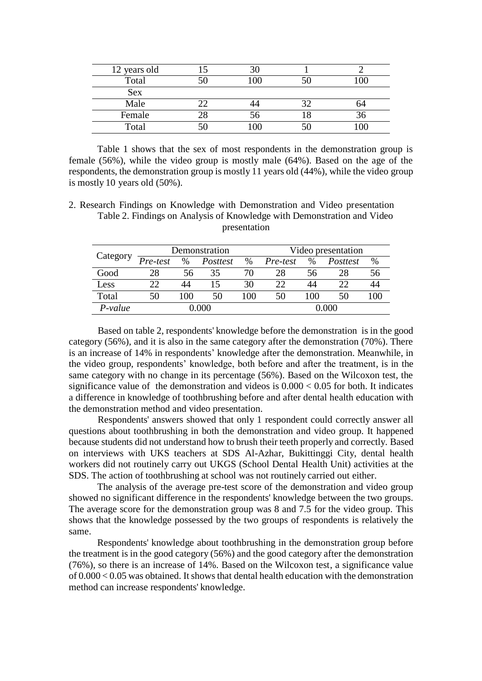| 12 years old |      |    |
|--------------|------|----|
| Total        |      |    |
| <b>Sex</b>   |      |    |
| Male         |      |    |
| Female       | . or |    |
| Total        |      | ∩∩ |

Table 1 shows that the sex of most respondents in the demonstration group is female (56%), while the video group is mostly male (64%). Based on the age of the respondents, the demonstration group is mostly 11 years old (44%), while the video group is mostly 10 years old (50%).

2. Research Findings on Knowledge with Demonstration and Video presentation Table 2. Findings on Analysis of Knowledge with Demonstration and Video presentation

|           | Demonstration |      |          |     | Video presentation |               |          |    |
|-----------|---------------|------|----------|-----|--------------------|---------------|----------|----|
| Category  | Pre-test      | $\%$ | Posttest | %   | Pre-test           | $\frac{0}{0}$ | Posttest | %  |
| Good      | 28            | 56   | 35       | 70  | 28                 | 56            | 28       | Эb |
| Less      |               |      | 15       | 30  | 22                 | 44            |          | 44 |
| Total     | 50            | 100  | 50       | 100 | 50                 | 100           | 50       |    |
| $P-value$ | റററ           |      |          |     | 000.00             |               |          |    |

Based on table 2, respondents' knowledge before the demonstration is in the good category (56%), and it is also in the same category after the demonstration (70%). There is an increase of 14% in respondents' knowledge after the demonstration. Meanwhile, in the video group, respondents' knowledge, both before and after the treatment, is in the same category with no change in its percentage (56%). Based on the Wilcoxon test, the significance value of the demonstration and videos is  $0.000 < 0.05$  for both. It indicates a difference in knowledge of toothbrushing before and after dental health education with the demonstration method and video presentation.

Respondents' answers showed that only 1 respondent could correctly answer all questions about toothbrushing in both the demonstration and video group. It happened because students did not understand how to brush their teeth properly and correctly. Based on interviews with UKS teachers at SDS Al-Azhar, Bukittinggi City, dental health workers did not routinely carry out UKGS (School Dental Health Unit) activities at the SDS. The action of toothbrushing at school was not routinely carried out either.

The analysis of the average pre-test score of the demonstration and video group showed no significant difference in the respondents' knowledge between the two groups. The average score for the demonstration group was 8 and 7.5 for the video group. This shows that the knowledge possessed by the two groups of respondents is relatively the same.

Respondents' knowledge about toothbrushing in the demonstration group before the treatment is in the good category (56%) and the good category after the demonstration (76%), so there is an increase of 14%. Based on the Wilcoxon test, a significance value  $\delta$  0.000 < 0.05 was obtained. It shows that dental health education with the demonstration method can increase respondents' knowledge.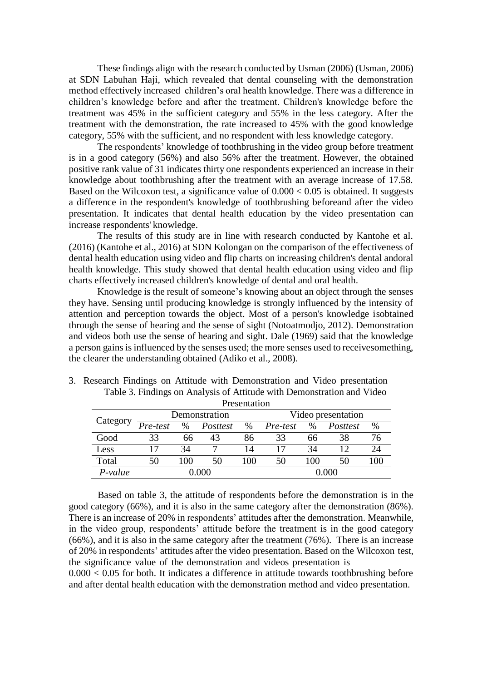These findings align with the research conducted by Usman (2006) (Usman, 2006) at SDN Labuhan Haji, which revealed that dental counseling with the demonstration method effectively increased children's oral health knowledge. There was a difference in children's knowledge before and after the treatment. Children's knowledge before the treatment was 45% in the sufficient category and 55% in the less category. After the treatment with the demonstration, the rate increased to 45% with the good knowledge category, 55% with the sufficient, and no respondent with less knowledge category.

The respondents' knowledge of toothbrushing in the video group before treatment is in a good category (56%) and also 56% after the treatment. However, the obtained positive rank value of 31 indicates thirty one respondents experienced an increase in their knowledge about toothbrushing after the treatment with an average increase of 17.58. Based on the Wilcoxon test, a significance value of  $0.000 < 0.05$  is obtained. It suggests a difference in the respondent's knowledge of toothbrushing beforeand after the video presentation. It indicates that dental health education by the video presentation can increase respondents' knowledge.

The results of this study are in line with research conducted by Kantohe et al. (2016) (Kantohe et al., 2016) at SDN Kolongan on the comparison of the effectiveness of dental health education using video and flip charts on increasing children's dental andoral health knowledge. This study showed that dental health education using video and flip charts effectively increased children's knowledge of dental and oral health.

Knowledge is the result of someone's knowing about an object through the senses they have. Sensing until producing knowledge is strongly influenced by the intensity of attention and perception towards the object. Most of a person's knowledge isobtained through the sense of hearing and the sense of sight (Notoatmodjo, 2012). Demonstration and videos both use the sense of hearing and sight. Dale (1969) said that the knowledge a person gains is influenced by the senses used; the more senses used to receives omething, the clearer the understanding obtained (Adiko et al., 2008).

| Presentation |          |      |               |      |                    |      |          |     |
|--------------|----------|------|---------------|------|--------------------|------|----------|-----|
|              |          |      | Demonstration |      | Video presentation |      |          |     |
| Category     | Pre-test | $\%$ | Posttest      | $\%$ | Pre-test           | $\%$ | Posttest | %   |
| Good         | 33       | 66   | 43            | 86   | 33                 | 66   | 38       | 76  |
| Less         | 17       | 34   |               | 14   | 17                 | 34   | 12       | 24  |
| Total        | 50       | 100  | 50            | 100  | 50                 | 100  | 50       | 100 |
| P-value      | 0.000    |      |               |      | <u>ን 000</u>       |      |          |     |

3. Research Findings on Attitude with Demonstration and Video presentation Table 3. Findings on Analysis of Attitude with Demonstration and Video

Based on table 3, the attitude of respondents before the demonstration is in the good category (66%), and it is also in the same category after the demonstration (86%). There is an increase of 20% in respondents' attitudes after the demonstration. Meanwhile, in the video group, respondents' attitude before the treatment is in the good category (66%), and it is also in the same category after the treatment (76%). There is an increase of 20% in respondents' attitudes after the video presentation. Based on the Wilcoxon test, the significance value of the demonstration and videos presentation is

 $0.000 < 0.05$  for both. It indicates a difference in attitude towards toothbrushing before and after dental health education with the demonstration method and video presentation.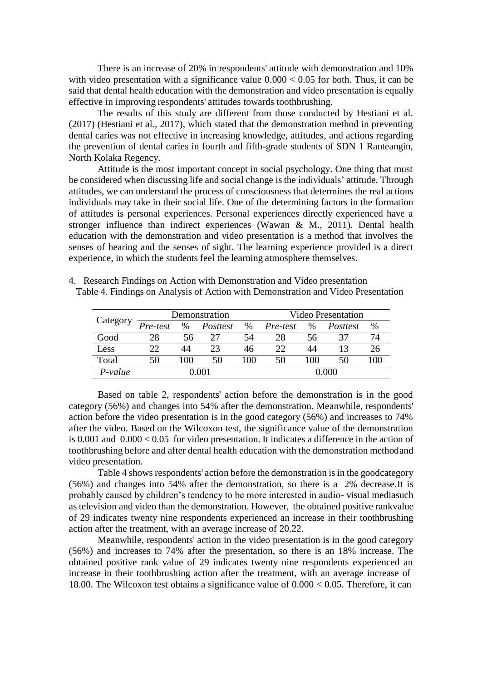There is an increase of 20% in respondents' attitude with demonstration and 10% with video presentation with a significance value  $0.000 < 0.05$  for both. Thus, it can be said that dental health education with the demonstration and video presentation is equally effective in improving respondents' attitudes towards toothbrushing.

The results of this study are different from those conducted by Hestiani et al. (2017) (Hestiani et al., 2017), which stated that the demonstration method in preventing dental caries was not effective in increasing knowledge, attitudes, and actions regarding the prevention of dental caries in fourth and fifth-grade students of SDN 1 Ranteangin, North Kolaka Regency.

Attitude is the most important concept in social psychology. One thing that must be considered when discussing life and social change is the individuals' attitude. Through attitudes, we can understand the process of consciousness that determines the real actions individuals may take in their social life. One of the determining factors in the formation of attitudes is personal experiences. Personal experiences directly experienced have a stronger influence than indirect experiences (Wawan & M., 2011). Dental health education with the demonstration and video presentation is a method that involves the senses of hearing and the senses of sight. The learning experience provided is a direct experience, in which the students feel the learning atmosphere themselves.

|           | Demonstration |      |          |     | <b>Video Presentation</b> |      |          |      |
|-----------|---------------|------|----------|-----|---------------------------|------|----------|------|
| Category  | Pre-test      | $\%$ | Posttest | %   | Pre-test                  | $\%$ | Posttest | $\%$ |
| Good      | 28            | 56   | フフ       | 54  | 28                        | 56   | 37       | 74   |
| Less      | 22            | 44   | 23       | 46  |                           | 44   |          |      |
| Total     | 50            | 100  | 50       | 100 | 50                        | 100  | 50       | 100  |
| $P-value$ |               |      |          |     |                           |      |          |      |

4. Research Findings on Action with Demonstration and Video presentation

Table 4. Findings on Analysis of Action with Demonstration and Video Presentation

Based on table 2, respondents' action before the demonstration is in the good category (56%) and changes into 54% after the demonstration. Meanwhile, respondents' action before the video presentation is in the good category (56%) and increases to 74% after the video. Based on the Wilcoxon test, the significance value of the demonstration is 0.001 and 0.000 < 0.05 for video presentation. It indicates a difference in the action of toothbrushing before and after dental health education with the demonstration methodand video presentation.

Table 4 shows respondents' action before the demonstration is in the goodcategory (56%) and changes into 54% after the demonstration, so there is a 2% decrease.It is probably caused by children's tendency to be more interested in audio- visual mediasuch astelevision and video than the demonstration. However, the obtained positive rankvalue of 29 indicates twenty nine respondents experienced an increase in their toothbrushing action after the treatment, with an average increase of 20.22.

Meanwhile, respondents' action in the video presentation is in the good category (56%) and increases to 74% after the presentation, so there is an 18% increase. The obtained positive rank value of 29 indicates twenty nine respondents experienced an increase in their toothbrushing action after the treatment, with an average increase of 18.00. The Wilcoxon test obtains a significance value of 0.000 < 0.05. Therefore, it can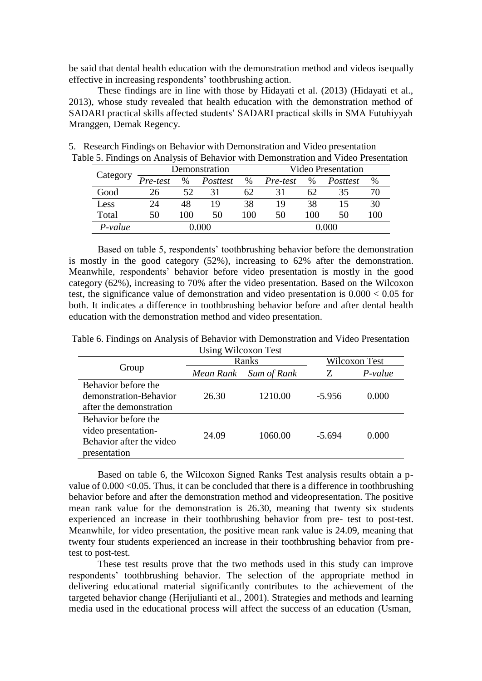be said that dental health education with the demonstration method and videos isequally effective in increasing respondents' toothbrushing action.

These findings are in line with those by Hidayati et al. (2013) (Hidayati et al., 2013), whose study revealed that health education with the demonstration method of SADARI practical skills affected students' SADARI practical skills in SMA Futuhiyyah Mranggen, Demak Regency.

|          | Demonstration |     |          |      | <b>Video Presentation</b> |      |          |      |
|----------|---------------|-----|----------|------|---------------------------|------|----------|------|
| Category | Pre-test      | %   | Posttest | $\%$ | Pre-test                  | $\%$ | Posttest | $\%$ |
| Good     | 26            | 52  | 31       | 62   |                           | 62   | 35       |      |
| Less     | 24            | 48  | 19       | 38   | 19                        | 38   |          | 30   |
| Total    | 50            | 100 | 50       | 100  | 50                        | 100  | 50       | 100  |
| P-value  |               |     |          |      |                           |      |          |      |

5. Research Findings on Behavior with Demonstration and Video presentation Table 5. Findings on Analysis of Behavior with Demonstration and Video Presentation

Based on table 5, respondents' toothbrushing behavior before the demonstration is mostly in the good category (52%), increasing to 62% after the demonstration. Meanwhile, respondents' behavior before video presentation is mostly in the good category (62%), increasing to 70% after the video presentation. Based on the Wilcoxon test, the significance value of demonstration and video presentation is 0.000 < 0.05 for both. It indicates a difference in toothbrushing behavior before and after dental health education with the demonstration method and video presentation.

Table 6. Findings on Analysis of Behavior with Demonstration and Video Presentation Using Wilcoxon Test

|                                                                                        |                          | Ranks   | Wilcoxon Test |           |  |
|----------------------------------------------------------------------------------------|--------------------------|---------|---------------|-----------|--|
| Group                                                                                  | Sum of Rank<br>Mean Rank |         |               | $P-value$ |  |
| Behavior before the<br>demonstration-Behavior<br>after the demonstration               | 26.30                    | 1210.00 | $-5.956$      | 0.000     |  |
| Behavior before the<br>video presentation-<br>Behavior after the video<br>presentation | 24.09                    | 1060.00 | $-5.694$      | 0.000     |  |

Based on table 6, the Wilcoxon Signed Ranks Test analysis results obtain a pvalue of 0.000 <0.05. Thus, it can be concluded that there is a difference in toothbrushing behavior before and after the demonstration method and videopresentation. The positive mean rank value for the demonstration is 26.30, meaning that twenty six students experienced an increase in their toothbrushing behavior from pre- test to post-test. Meanwhile, for video presentation, the positive mean rank value is 24.09, meaning that twenty four students experienced an increase in their toothbrushing behavior from pretest to post-test.

These test results prove that the two methods used in this study can improve respondents' toothbrushing behavior. The selection of the appropriate method in delivering educational material significantly contributes to the achievement of the targeted behavior change (Herijulianti et al., 2001). Strategies and methods and learning media used in the educational process will affect the success of an education (Usman,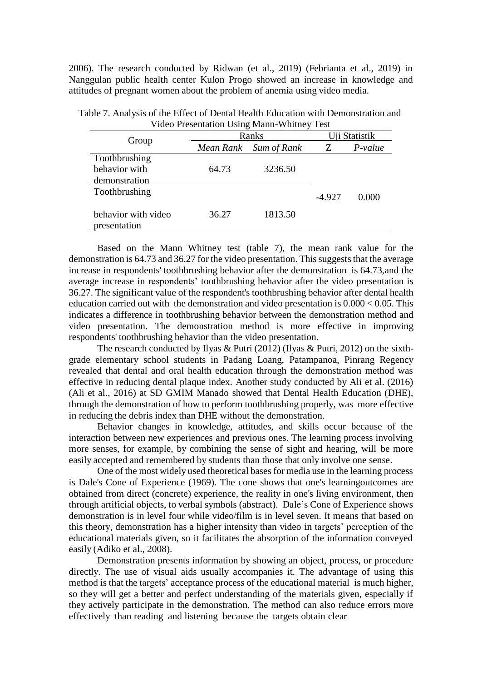2006). The research conducted by Ridwan (et al., 2019) (Febrianta et al., 2019) in Nanggulan public health center Kulon Progo showed an increase in knowledge and attitudes of pregnant women about the problem of anemia using video media.

| video Presentation Using Mann-Winthey Test |           |             |               |           |  |  |  |  |
|--------------------------------------------|-----------|-------------|---------------|-----------|--|--|--|--|
| Group                                      | Ranks     |             | Uji Statistik |           |  |  |  |  |
|                                            | Mean Rank | Sum of Rank |               | $P-value$ |  |  |  |  |
| Toothbrushing                              |           |             |               |           |  |  |  |  |
| behavior with                              | 64.73     | 3236.50     |               |           |  |  |  |  |
| demonstration                              |           |             |               |           |  |  |  |  |
| Toothbrushing                              |           |             | $-4.927$      | 0.000     |  |  |  |  |
|                                            |           |             |               |           |  |  |  |  |
| behavior with video                        | 36.27     | 1813.50     |               |           |  |  |  |  |
| presentation                               |           |             |               |           |  |  |  |  |

Table 7. Analysis of the Effect of Dental Health Education with Demonstration and Video Presentation Using Mann-Whitney Test

Based on the Mann Whitney test (table 7), the mean rank value for the demonstration is 64.73 and 36.27 for the video presentation. This suggests that the average increase in respondents' toothbrushing behavior after the demonstration is 64.73,and the average increase in respondents' toothbrushing behavior after the video presentation is 36.27. The significant value of the respondent's toothbrushing behavior after dental health education carried out with the demonstration and video presentation is 0.000 < 0.05. This indicates a difference in toothbrushing behavior between the demonstration method and video presentation. The demonstration method is more effective in improving respondents' toothbrushing behavior than the video presentation.

The research conducted by Ilyas & Putri (2012) (Ilyas & Putri, 2012) on the sixthgrade elementary school students in Padang Loang, Patampanoa, Pinrang Regency revealed that dental and oral health education through the demonstration method was effective in reducing dental plaque index. Another study conducted by Ali et al. (2016) (Ali et al., 2016) at SD GMIM Manado showed that Dental Health Education (DHE), through the demonstration of how to perform toothbrushing properly, was more effective in reducing the debris index than DHE without the demonstration.

Behavior changes in knowledge, attitudes, and skills occur because of the interaction between new experiences and previous ones. The learning process involving more senses, for example, by combining the sense of sight and hearing, will be more easily accepted and remembered by students than those that only involve one sense.

One of the most widely used theoretical bases for media use in the learning process is Dale's Cone of Experience (1969). The cone shows that one's learningoutcomes are obtained from direct (concrete) experience, the reality in one's living environment, then through artificial objects, to verbal symbols (abstract). Dale's Cone of Experience shows demonstration is in level four while video/film is in level seven. It means that based on this theory, demonstration has a higher intensity than video in targets' perception of the educational materials given, so it facilitates the absorption of the information conveyed easily (Adiko et al., 2008).

Demonstration presents information by showing an object, process, or procedure directly. The use of visual aids usually accompanies it. The advantage of using this method is that the targets' acceptance process of the educational material is much higher, so they will get a better and perfect understanding of the materials given, especially if they actively participate in the demonstration. The method can also reduce errors more effectively than reading and listening because the targets obtain clear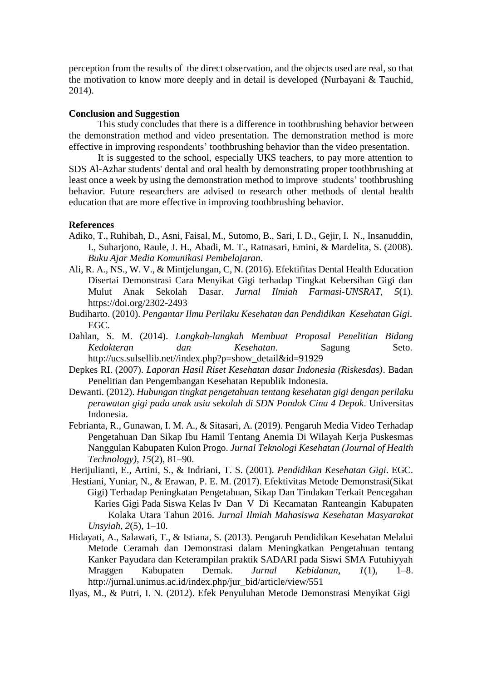perception from the results of the direct observation, and the objects used are real, so that the motivation to know more deeply and in detail is developed (Nurbayani & Tauchid, 2014).

#### **Conclusion and Suggestion**

This study concludes that there is a difference in toothbrushing behavior between the demonstration method and video presentation. The demonstration method is more effective in improving respondents' toothbrushing behavior than the video presentation.

It is suggested to the school, especially UKS teachers, to pay more attention to SDS Al-Azhar students' dental and oral health by demonstrating proper toothbrushing at least once a week by using the demonstration method to improve students' toothbrushing behavior. Future researchers are advised to research other methods of dental health education that are more effective in improving toothbrushing behavior.

## **References**

- Adiko, T., Ruhibah, D., Asni, Faisal, M., Sutomo, B., Sari, I. D., Gejir, I. N., Insanuddin, I., Suharjono, Raule, J. H., Abadi, M. T., Ratnasari, Emini, & Mardelita, S. (2008). *Buku Ajar Media Komunikasi Pembelajaran*.
- Ali, R. A., NS., W. V., & Mintjelungan, C, N. (2016). Efektifitas Dental Health Education Disertai Demonstrasi Cara Menyikat Gigi terhadap Tingkat Kebersihan Gigi dan Mulut Anak Sekolah Dasar. *Jurnal Ilmiah Farmasi-UNSRAT*, *5*(1). https://doi.org/2302-2493
- Budiharto. (2010). *Pengantar Ilmu Perilaku Kesehatan dan Pendidikan Kesehatan Gigi*. EGC.
- Dahlan, S. M. (2014). *Langkah-langkah Membuat Proposal Penelitian Bidang Kedokteran dan Kesehatan*. Sagung Seto. [http://ucs.sulsellib.net//index.php?p=show\\_detail&id=91929](http://ucs.sulsellib.net/index.php?p=show_detail&id=91929)
- Depkes RI. (2007). *Laporan Hasil Riset Kesehatan dasar Indonesia (Riskesdas)*. Badan Penelitian dan Pengembangan Kesehatan Republik Indonesia.
- Dewanti. (2012). *Hubungan tingkat pengetahuan tentang kesehatan gigi dengan perilaku perawatan gigi pada anak usia sekolah di SDN Pondok Cina 4 Depok*. Universitas Indonesia.
- Febrianta, R., Gunawan, I. M. A., & Sitasari, A. (2019). Pengaruh Media Video Terhadap Pengetahuan Dan Sikap Ibu Hamil Tentang Anemia Di Wilayah Kerja Puskesmas Nanggulan Kabupaten Kulon Progo. *Jurnal Teknologi Kesehatan (Journal of Health Technology)*, *15*(2), 81–90.
- Herijulianti, E., Artini, S., & Indriani, T. S. (2001). *Pendidikan Kesehatan Gigi*. EGC.
- Hestiani, Yuniar, N., & Erawan, P. E. M. (2017). Efektivitas Metode Demonstrasi(Sikat Gigi) Terhadap Peningkatan Pengetahuan, Sikap Dan Tindakan Terkait Pencegahan Karies Gigi Pada Siswa Kelas Iv Dan V Di Kecamatan Ranteangin Kabupaten Kolaka Utara Tahun 2016. *Jurnal Ilmiah Mahasiswa Kesehatan Masyarakat Unsyiah*, *2*(5), 1–10.
- Hidayati, A., Salawati, T., & Istiana, S. (2013). Pengaruh Pendidikan Kesehatan Melalui Metode Ceramah dan Demonstrasi dalam Meningkatkan Pengetahuan tentang Kanker Payudara dan Keterampilan praktik SADARI pada Siswi SMA Futuhiyyah Mraggen Kabupaten Demak. *Jurnal Kebidanan*, *1*(1), 1–8. [http://jurnal.unimus.ac.id/index.php/jur\\_bid/article/view/551](http://jurnal.unimus.ac.id/index.php/jur_bid/article/view/551)

Ilyas, M., & Putri, I. N. (2012). Efek Penyuluhan Metode Demonstrasi Menyikat Gigi